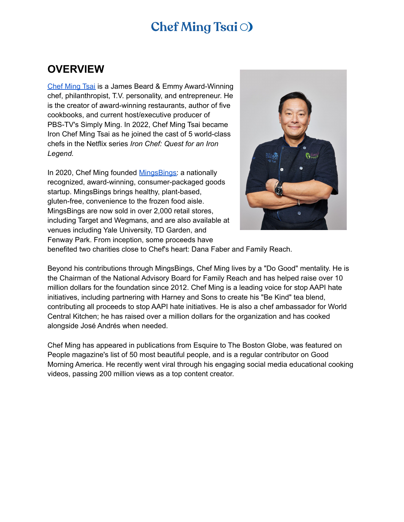#### **OVERVIEW**

Chef [Ming](http://www.ming.com) Tsai is a James Beard & Emmy Award-Winning chef, philanthropist, T.V. personality, and entrepreneur. He is the creator of award-winning restaurants, author of five cookbooks, and current host/executive producer of PBS-TV's Simply Ming. In 2022, Chef Ming Tsai became Iron Chef Ming Tsai as he joined the cast of 5 world-class chefs in the Netflix series *Iron Chef: Quest for an Iron Legend.*

In 2020, Chef Ming founded **[MingsBings:](https://mingsbings.com/)** a nationally recognized, award-winning, consumer-packaged goods startup. MingsBings brings healthy, plant-based, gluten-free, convenience to the frozen food aisle. MingsBings are now sold in over 2,000 retail stores, including Target and Wegmans, and are also available at venues including Yale University, TD Garden, and Fenway Park. From inception, some proceeds have



benefited two charities close to Chef's heart: Dana Faber and Family Reach.

Beyond his contributions through MingsBings, Chef Ming lives by a "Do Good" mentality. He is the Chairman of the National Advisory Board for Family Reach and has helped raise over 10 million dollars for the foundation since 2012. Chef Ming is a leading voice for stop AAPI hate initiatives, including partnering with Harney and Sons to create his "Be Kind" tea blend, contributing all proceeds to stop AAPI hate initiatives. He is also a chef ambassador for World Central Kitchen; he has raised over a million dollars for the organization and has cooked alongside José Andrés when needed.

Chef Ming has appeared in publications from Esquire to The Boston Globe, was featured on People magazine's list of 50 most beautiful people, and is a regular contributor on Good Morning America. He recently went viral through his engaging social media educational cooking videos, passing 200 million views as a top content creator.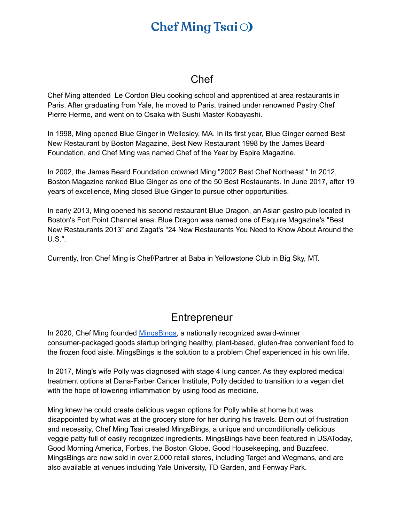## **Chef Ming Tsai**  $\odot$

#### Chef

Chef Ming attended Le Cordon Bleu cooking school and apprenticed at area restaurants in Paris. After graduating from Yale, he moved to Paris, trained under renowned Pastry Chef Pierre Herme, and went on to Osaka with Sushi Master Kobayashi.

In 1998, Ming opened Blue Ginger in Wellesley, MA. In its first year, Blue Ginger earned Best New Restaurant by Boston Magazine, Best New Restaurant 1998 by the James Beard Foundation, and Chef Ming was named Chef of the Year by Espire Magazine.

In 2002, the James Beard Foundation crowned Ming "2002 Best Chef Northeast." In 2012, Boston Magazine ranked Blue Ginger as one of the 50 Best Restaurants. In June 2017, after 19 years of excellence, Ming closed Blue Ginger to pursue other opportunities.

In early 2013, Ming opened his second restaurant Blue Dragon, an Asian gastro pub located in Boston's Fort Point Channel area. Blue Dragon was named one of Esquire Magazine's "Best New Restaurants 2013" and Zagat's "24 New Restaurants You Need to Know About Around the U.S.".

Currently, Iron Chef Ming is Chef/Partner at Baba in Yellowstone Club in Big Sky, MT.

#### **Entrepreneur**

In 2020, Chef Ming founded [MingsBings,](http://www.mingsbings.com) a nationally recognized award-winner consumer-packaged goods startup bringing healthy, plant-based, gluten-free convenient food to the frozen food aisle. MingsBings is the solution to a problem Chef experienced in his own life.

In 2017, Ming's wife Polly was diagnosed with stage 4 lung cancer. As they explored medical treatment options at Dana-Farber Cancer Institute, Polly decided to transition to a vegan diet with the hope of lowering inflammation by using food as medicine.

Ming knew he could create delicious vegan options for Polly while at home but was disappointed by what was at the grocery store for her during his travels. Born out of frustration and necessity, Chef Ming Tsai created MingsBings, a unique and unconditionally delicious veggie patty full of easily recognized ingredients. MingsBings have been featured in USAToday, Good Morning America, Forbes, the Boston Globe, Good Housekeeping, and Buzzfeed. MingsBings are now sold in over 2,000 retail stores, including Target and Wegmans, and are also available at venues including Yale University, TD Garden, and Fenway Park.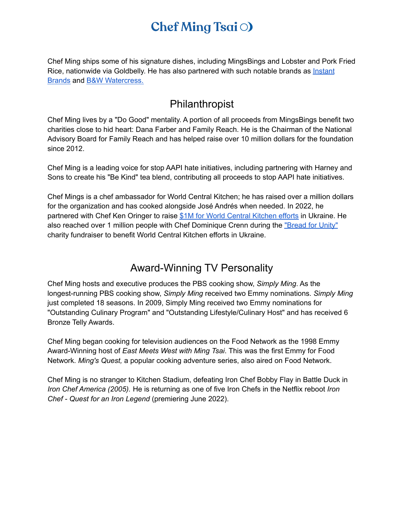# **Chef Ming Tsai**  $\odot$

Chef Ming ships some of his signature dishes, including MingsBings and Lobster and Pork Fried Rice, nationwide via Goldbelly. He has also partnered with such notable brands as *[Instant](https://www.youtube.com/playlist?list=PL23kFwHhS1k3wlNOqvQWnjzhdXJWr0KCU)* [Brands](https://www.youtube.com/playlist?list=PL23kFwHhS1k3wlNOqvQWnjzhdXJWr0KCU) and B&W [Watercress.](https://bwqualitygrowers.com/search/?search=chef+ming+tsai)

#### Philanthropist

Chef Ming lives by a "Do Good" mentality. A portion of all proceeds from MingsBings benefit two charities close to hid heart: Dana Farber and Family Reach. He is the Chairman of the National Advisory Board for Family Reach and has helped raise over 10 million dollars for the foundation since 2012.

Chef Ming is a leading voice for stop AAPI hate initiatives, including partnering with Harney and Sons to create his "Be Kind" tea blend, contributing all proceeds to stop AAPI hate initiatives.

Chef Mings is a chef ambassador for World Central Kitchen; he has raised over a million dollars for the organization and has cooked alongside José Andrés when needed. In 2022, he partnered with Chef Ken Oringer to raise \$1M for World Central [Kitchen](https://www.bostonglobe.com/2022/04/14/lifestyle/benefit-dinner-uni-raises-1-million-world-central-kitchens-ukraine-efforts/) efforts in Ukraine. He also reached over 1 million people with Chef Dominique Crenn during the ["Bread](https://www.youtube.com/watch?v=0x2sHsZofkE) for Unity" charity fundraiser to benefit World Central Kitchen efforts in Ukraine.

#### Award-Winning TV Personality

Chef Ming hosts and executive produces the PBS cooking show, *Simply Ming*. As the longest-running PBS cooking show, *Simply Ming* received two Emmy nominations. *Simply Ming* just completed 18 seasons. In 2009, Simply Ming received two Emmy nominations for "Outstanding Culinary Program" and "Outstanding Lifestyle/Culinary Host" and has received 6 Bronze Telly Awards.

Chef Ming began cooking for television audiences on the Food Network as the 1998 Emmy Award-Winning host of *East Meets West with Ming Tsai*. This was the first Emmy for Food Network. *Ming's Quest,* a popular cooking adventure series, also aired on Food Network.

Chef Ming is no stranger to Kitchen Stadium, defeating Iron Chef Bobby Flay in Battle Duck in *Iron Chef America (2005).* He is returning as one of five Iron Chefs in the Netflix reboot *Iron Chef - Quest for an Iron Legend* (premiering June 2022).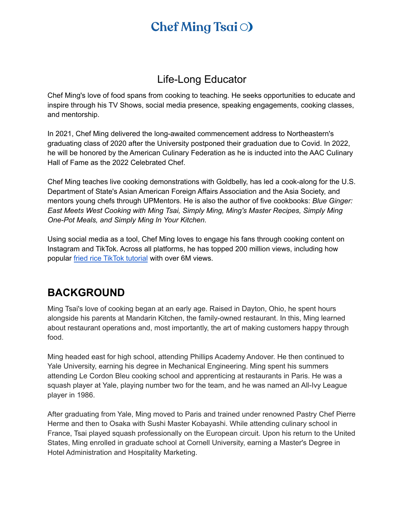# **Chef Ming Tsai**  $\odot$

### Life-Long Educator

Chef Ming's love of food spans from cooking to teaching. He seeks opportunities to educate and inspire through his TV Shows, social media presence, speaking engagements, cooking classes, and mentorship.

In 2021, Chef Ming delivered the long-awaited commencement address to Northeastern's graduating class of 2020 after the University postponed their graduation due to Covid. In 2022, he will be honored by the American Culinary Federation as he is inducted into the AAC Culinary Hall of Fame as the 2022 Celebrated Chef.

Chef Ming teaches live cooking demonstrations with Goldbelly, has led a cook-along for the U.S. Department of State's Asian American Foreign Affairs Association and the Asia Society, and mentors young chefs through UPMentors. He is also the author of five cookbooks: *Blue Ginger: East Meets West Cooking with Ming Tsai, Simply Ming, Ming's Master Recipes, Simply Ming One-Pot Meals, and Simply Ming In Your Kitchen.*

Using social media as a tool, Chef Ming loves to engage his fans through cooking content on Instagram and TikTok. Across all platforms, he has topped 200 million views, including how popular fried rice TikTok [tutorial](https://www.tiktok.com/@chefmingtsai/video/6913957754713492741?is_copy_url=1&is_from_webapp=v1&lang=en) with over 6M views.

#### **BACKGROUND**

Ming Tsai's love of cooking began at an early age. Raised in Dayton, Ohio, he spent hours alongside his parents at Mandarin Kitchen, the family-owned restaurant. In this, Ming learned about restaurant operations and, most importantly, the art of making customers happy through food.

Ming headed east for high school, attending Phillips Academy Andover. He then continued to Yale University, earning his degree in Mechanical Engineering. Ming spent his summers attending Le Cordon Bleu cooking school and apprenticing at restaurants in Paris. He was a squash player at Yale, playing number two for the team, and he was named an All-Ivy League player in 1986.

After graduating from Yale, Ming moved to Paris and trained under renowned Pastry Chef Pierre Herme and then to Osaka with Sushi Master Kobayashi. While attending culinary school in France, Tsai played squash professionally on the European circuit. Upon his return to the United States, Ming enrolled in graduate school at Cornell University, earning a Master's Degree in Hotel Administration and Hospitality Marketing.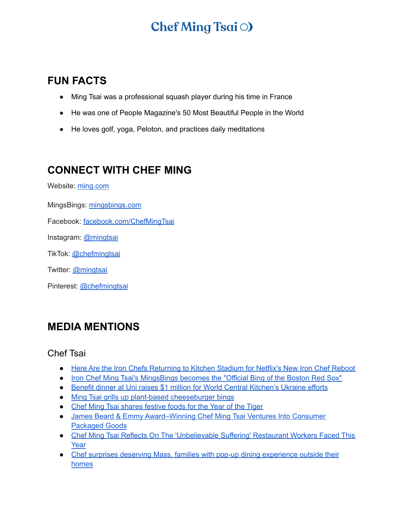### **FUN FACTS**

- Ming Tsai was a professional squash player during his time in France
- He was one of People Magazine's 50 Most Beautiful People in the World
- He loves golf, yoga, Peloton, and practices daily meditations

### **CONNECT WITH CHEF MING**

Website: [ming.com](http://ming.com/)

MingsBings: [mingsbings.com](http://www.mingsbings.com)

Facebook: [facebook.com/ChefMingTsai](http://facebook.com/ChefMingTsai)

Instagram: [@mingtsai](https://www.instagram.com/mingtsai/)

TikTok: [@chefmingtsai](https://www.tiktok.com/@chefmingtsai?fromUrl=%2Fchefmingtsai&lang=en)

Twitter: [@mingtsai](https://twitter.com/mingtsai?ref_src=twsrc%5Egoogle%7Ctwcamp%5Eserp%7Ctwgr%5Eauthor)

Pinterest: [@chefmingtsai](https://www.pinterest.com/ChefMingTsai/_created/)

#### **MEDIA MENTIONS**

#### Chef Tsai

- Here Are the Iron Chefs [Returning](https://people.com/food/here-are-iron-chefs-competing-on-netflixs-reboot-iron-chef-quest-for-an-iron-legend/) to Kitchen Stadium for Netflix's New Iron Chef Reboot
- Iron Chef Ming Tsai's [MingsBings](https://www.mlb.com/press-release/iron-chef-ming-tsai-s-mingsbings-becomes-the-official-bing-of-the-boston-red-sox) becomes the "Official Bing of the Boston Red Sox"
- Benefit dinner at Uni raises \$1 million for World Central [Kitchen's](https://www.bostonglobe.com/2022/04/14/lifestyle/benefit-dinner-uni-raises-1-million-world-central-kitchens-ukraine-efforts/) Ukraine efforts
- Ming Tsai grills up plant-based [cheeseburger](https://www.yahoo.com/gma/ming-tsai-grills-plant-based-210744856.html) bings
- Chef Ming Tsai [shares](https://abcnews.go.com/GMA/Food/video/chef-ming-tsai-shares-festive-foods-year-tiger-82596134) festive foods for the Year of the Tiger
- James Beard & Emmy [Award–Winning](https://www.forbes.com/sites/cindybrzostowski/2021/03/12/james-beard--emmy-awardwinning-chef-ming-tsai-ventures-into-consumer-packaged-goods/?sh=446131bc5101) Chef Ming Tsai Ventures Into Consumer [Packaged](https://www.forbes.com/sites/cindybrzostowski/2021/03/12/james-beard--emmy-awardwinning-chef-ming-tsai-ventures-into-consumer-packaged-goods/?sh=446131bc5101) Goods
- Chef Ming Tsai Reflects On The ['Unbelievable](https://www.wgbh.org/news/local-news/2021/03/09/chef-ming-tsai-reflects-on-the-unbelievable-suffering-restaurant-workers-faced-this-year) Suffering' Restaurant Workers Faced This [Year](https://www.wgbh.org/news/local-news/2021/03/09/chef-ming-tsai-reflects-on-the-unbelievable-suffering-restaurant-workers-faced-this-year)
- Chef surprises deserving Mass. families with pop-up dining [experience](https://whdh.com/news/chef-surprises-deserving-mass-families-with-pop-up-dining-experience-outside-their-homes/) outside their [homes](https://whdh.com/news/chef-surprises-deserving-mass-families-with-pop-up-dining-experience-outside-their-homes/)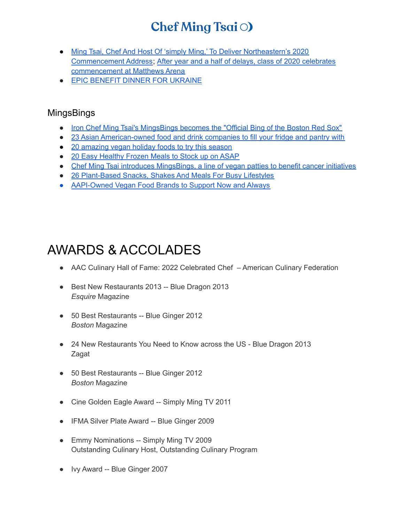- Ming Tsai, Chef And Host Of 'simply Ming,' To Deliver [Northeastern's](https://news.northeastern.edu/2021/10/27/ming-tsai-commencement-speaker-2020/?utm_source=News%40Northeastern&utm_campaign=511d06a880-EMAIL_CAMPAIGN_2021_10_22_01_03_COPY_01&utm_medium=email&utm_term=0_508ab516a3-511d06a880-278507589) 2020 [Commencement](https://news.northeastern.edu/2021/10/27/ming-tsai-commencement-speaker-2020/?utm_source=News%40Northeastern&utm_campaign=511d06a880-EMAIL_CAMPAIGN_2021_10_22_01_03_COPY_01&utm_medium=email&utm_term=0_508ab516a3-511d06a880-278507589) Address; After year and a half of delays, class of 2020 [celebrates](https://huntnewsnu.com/67136/front-1/after-year-and-a-half-of-delays-class-of-2020-celebrates-commencement-at-matthews-arena/) [commencement](https://huntnewsnu.com/67136/front-1/after-year-and-a-half-of-delays-class-of-2020-celebrates-commencement-at-matthews-arena/) at Matthews Arena
- **EPIC BENEFIT DINNER FOR [UKRAINE](https://www.bostonchefs.com/events/epic-benefit-dinner-for-ukraine/)**

#### **MingsBings**

- Iron Chef Ming Tsai's [MingsBings](https://www.mlb.com/press-release/iron-chef-ming-tsai-s-mingsbings-becomes-the-official-bing-of-the-boston-red-sox) becomes the "Official Bing of the Boston Red Sox"
- 23 Asian [American-owned](https://www.today.com/food/groceries/asian-american-owned-food-drink-brands-rcna29075) food and drink companies to fill your fridge and pantry with
- 20 [amazing](https://www.10best.com/interests/food-culture/20-vegan-holiday-foods-buy-grocery-store/) vegan holiday foods to try this season
- 20 Easy [Healthy](https://www.goodhousekeeping.com/food-products/g29021790/best-healthy-frozen-meals/) Frozen Meals to Stock up on ASAP
- Chef Ming Tsai introduces [MingsBings,](https://www.bostonglobe.com/2020/11/17/lifestyle/chef-ming-tsai-introduces-mingsbings-line-vegan-patties-benefit-cancer-initiatives/) a line of vegan patties to benefit cancer initiatives
- 26 [Plant-Based](https://www.forbes.com/sites/annahaines/2021/09/28/26-plant-based-snacks-shakes-and-meals-for-busy-lifestyles/?sh=38fdee903851) Snacks, Shakes And Meals For Busy Lifestyles
- [AAPI-Owned](https://vegoutmag.com/food-and-drink/aapi-owned-vegan-food-brands/#) Vegan Food Brands to Support Now and Always

### AWARDS & ACCOLADES

- AAC Culinary Hall of Fame: 2022 Celebrated Chef American Culinary Federation
- Best New Restaurants 2013 -- Blue Dragon 2013 *Esquire* Magazine
- 50 Best Restaurants -- Blue Ginger 2012 *Boston* Magazine
- 24 New Restaurants You Need to Know across the US Blue Dragon 2013 Zagat
- 50 Best Restaurants -- Blue Ginger 2012 *Boston* Magazine
- Cine Golden Eagle Award -- Simply Ming TV 2011
- IFMA Silver Plate Award -- Blue Ginger 2009
- Emmy Nominations -- Simply Ming TV 2009 Outstanding Culinary Host, Outstanding Culinary Program
- Ivy Award -- Blue Ginger 2007